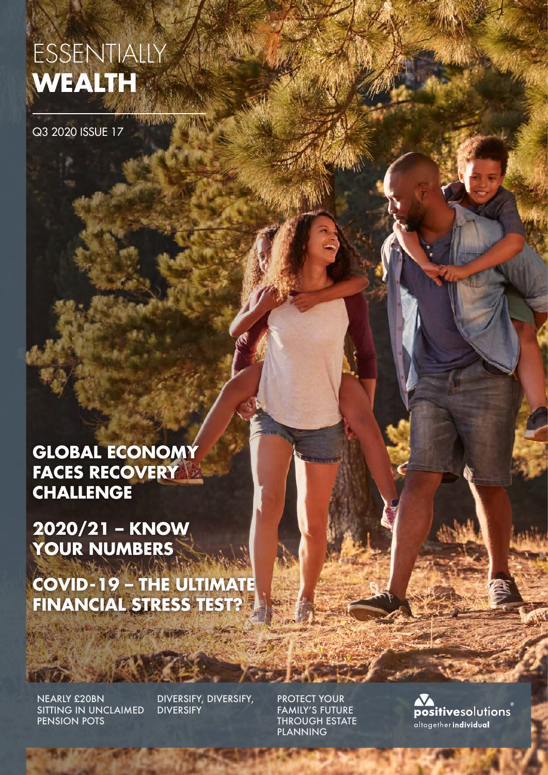# ESSENTIALLY **WEALTH**

WARD HARVE

Q3 2020 ISSUE 17

**GLOBAL ECONOMY FACES RECOVERY CHALLENGE**

**2020/21 – KNOW YOUR NUMBERS**

**COVID-19 – THE ULTIMATE FINANCIAL STRESS TEST?**

**Long Preference** 

NEARLY £20BN SITTING IN UNCLAIMED PENSION POTS

DIVERSIFY, DIVERSIFY, **DIVERSIFY** 

PROTECT YOUR FAMILY'S FUTURE THROUGH ESTATE PLANNING

**FOURNEY** 

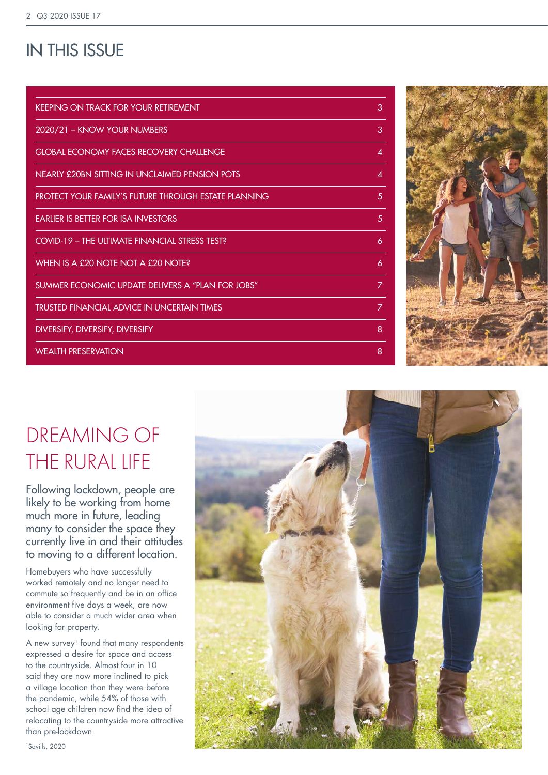### IN THIS ISSUE

| <b>KEEPING ON TRACK FOR YOUR RETIREMENT</b>          | 3              |
|------------------------------------------------------|----------------|
| 2020/21 - KNOW YOUR NUMBERS                          | 3              |
| <b>GLOBAL ECONOMY FACES RECOVERY CHALLENGE</b>       | 4              |
| NEARLY £20BN SITTING IN UNCLAIMED PENSION POTS       | 4              |
| PROTECT YOUR FAMILY'S FUTURE THROUGH ESTATE PLANNING | 5              |
| <b>FARLIER IS BETTER FOR ISA INVESTORS</b>           | 5              |
| COVID-19 - THE ULTIMATE FINANCIAL STRESS TEST?       | 6              |
| WHEN IS A £20 NOTE NOT A £20 NOTE?                   | 6              |
| SUMMER ECONOMIC UPDATE DELIVERS A "PLAN FOR JOBS"    | 7              |
| TRUSTED FINANCIAL ADVICE IN UNCERTAIN TIMES          | $\overline{z}$ |
| DIVERSIFY, DIVERSIFY, DIVERSIFY                      | 8              |
| <b>WEALTH PRESERVATION</b>                           | 8              |



# DREAMING OF THE RURAL LIFE

Following lockdown, people are likely to be working from home much more in future, leading many to consider the space they currently live in and their attitudes to moving to a different location.

Homebuyers who have successfully worked remotely and no longer need to commute so frequently and be in an office environment five days a week, are now able to consider a much wider area when looking for property.

A new survey<sup>1</sup> found that many respondents expressed a desire for space and access to the countryside. Almost four in 10 said they are now more inclined to pick a village location than they were before the pandemic, while 54% of those with school age children now find the idea of relocating to the countryside more attractive than pre-lockdown.

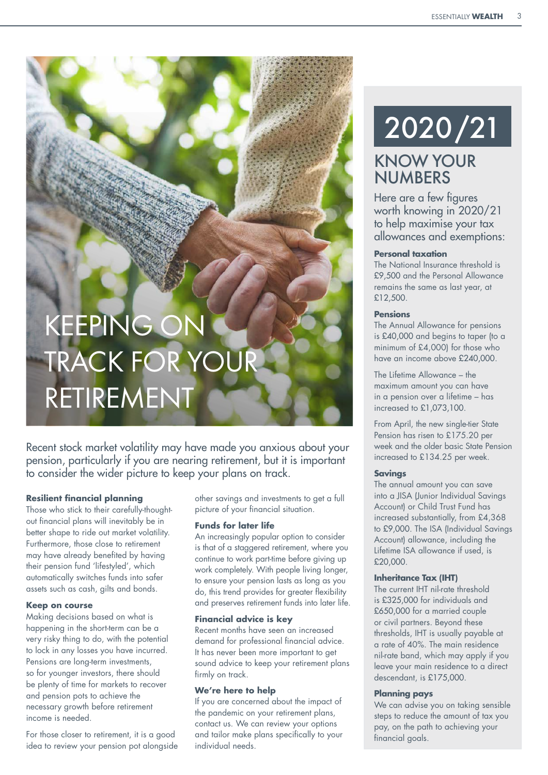# KEEPING ON TRACK FOR YOUR RETIREMENT

Recent stock market volatility may have made you anxious about your pension, particularly if you are nearing retirement, but it is important to consider the wider picture to keep your plans on track.

#### **Resilient financial planning**

Those who stick to their carefully-thoughtout financial plans will inevitably be in better shape to ride out market volatility. Furthermore, those close to retirement may have already benefited by having their pension fund 'lifestyled', which automatically switches funds into safer assets such as cash, gilts and bonds.

#### **Keep on course**

Making decisions based on what is happening in the short-term can be a very risky thing to do, with the potential to lock in any losses you have incurred. Pensions are long-term investments, so for younger investors, there should be plenty of time for markets to recover and pension pots to achieve the necessary growth before retirement income is needed.

For those closer to retirement, it is a good idea to review your pension pot alongside other savings and investments to get a full picture of your financial situation.

#### **Funds for later life**

An increasingly popular option to consider is that of a staggered retirement, where you continue to work part-time before giving up work completely. With people living longer, to ensure your pension lasts as long as you do, this trend provides for greater flexibility and preserves retirement funds into later life.

#### **Financial advice is key**

Recent months have seen an increased demand for professional financial advice. It has never been more important to get sound advice to keep your retirement plans firmly on track.

#### **We're here to help**

If you are concerned about the impact of the pandemic on your retirement plans, contact us. We can review your options and tailor make plans specifically to your individual needs.

# 2020/21

### KNOW YOUR **NUMBERS**

Here are a few figures worth knowing in 2020/21 to help maximise your tax allowances and exemptions:

#### **Personal taxation**

The National Insurance threshold is £9,500 and the Personal Allowance remains the same as last year, at £12,500.

#### **Pensions**

The Annual Allowance for pensions is £40,000 and begins to taper (to a minimum of £4,000) for those who have an income above £240,000.

The Lifetime Allowance – the maximum amount you can have in a pension over a lifetime – has increased to £1,073,100.

From April, the new single-tier State Pension has risen to £175.20 per week and the older basic State Pension increased to £134.25 per week.

#### **Savings**

The annual amount you can save into a JISA (Junior Individual Savings Account) or Child Trust Fund has increased substantially, from £4,368 to £9,000. The ISA (Individual Savings Account) allowance, including the Lifetime ISA allowance if used, is £20,000.

#### **Inheritance Tax (IHT)**

The current IHT nil-rate threshold is £325,000 for individuals and £650,000 for a married couple or civil partners. Beyond these thresholds, IHT is usually payable at a rate of 40%. The main residence nil-rate band, which may apply if you leave your main residence to a direct descendant, is £175,000.

#### **Planning pays**

We can advise you on taking sensible steps to reduce the amount of tax you pay, on the path to achieving your financial goals.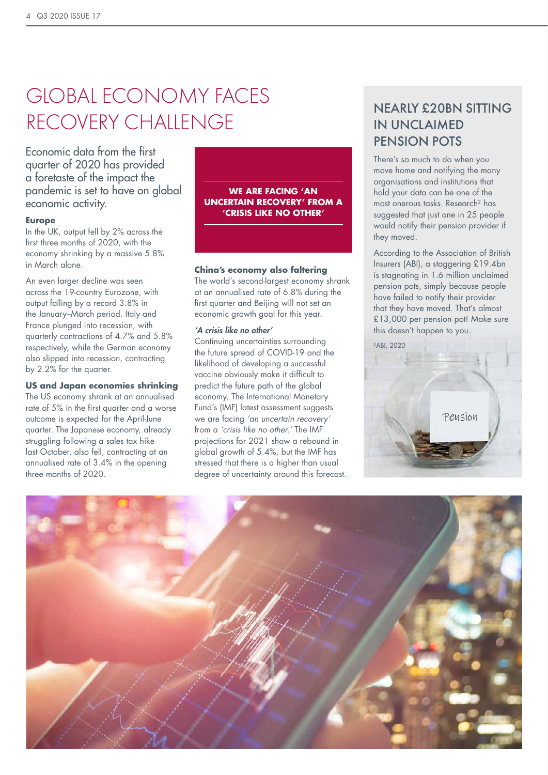# GLOBAL ECONOMY FACES RECOVERY CHALLENGE

Economic data from the first quarter of 2020 has provided a foretaste of the impact the pandemic is set to have on global economic activity.

#### **Europe**

In the UK, output fell by 2% across the first three months of 2020, with the economy shrinking by a massive 5.8% in March alone.

An even larger decline was seen across the 19-country Eurozone, with output falling by a record 3.8% in the January–March period. Italy and France plunged into recession, with quarterly contractions of 4.7% and 5.8% respectively, while the German economy also slipped into recession, contracting by 2.2% for the quarter.

#### **US and Japan economies shrinking**

The US economy shrank at an annualised rate of 5% in the first quarter and a worse outcome is expected for the April-June quarter. The Japanese economy, already struggling following a sales tax hike last October, also fell, contracting at an annualised rate of 3.4% in the opening three months of 2020.



#### **China's economy also faltering**

The world's second-largest economy shrank at an annualised rate of 6.8% during the first quarter and Beijing will not set an economic growth goal for this year.

#### *'A crisis like no other'*

Continuing uncertainties surrounding the future spread of COVID-19 and the likelihood of developing a successful vaccine obviously make it difficult to predict the future path of the global economy. The International Monetary Fund's (IMF) latest assessment suggests we are facing *'an uncertain recovery'* from a *'crisis like no other.'* The IMF projections for 2021 show a rebound in global growth of 5.4%, but the IMF has stressed that there is a higher than usual degree of uncertainty around this forecast.

### NEARLY £20BN SITTING IN UNCLAIMED PENSION POTS

There's so much to do when you move home and notifying the many organisations and institutions that hold your data can be one of the most onerous tasks. Research2 has suggested that just one in 25 people would notify their pension provider if they moved.

According to the Association of British Insurers (ABI), a staggering £19.4bn is stagnating in 1.6 million unclaimed pension pots, simply because people have failed to notify their provider that they have moved. That's almost £13,000 per pension pot! Make sure this doesn't happen to you.

2ABI, 2020



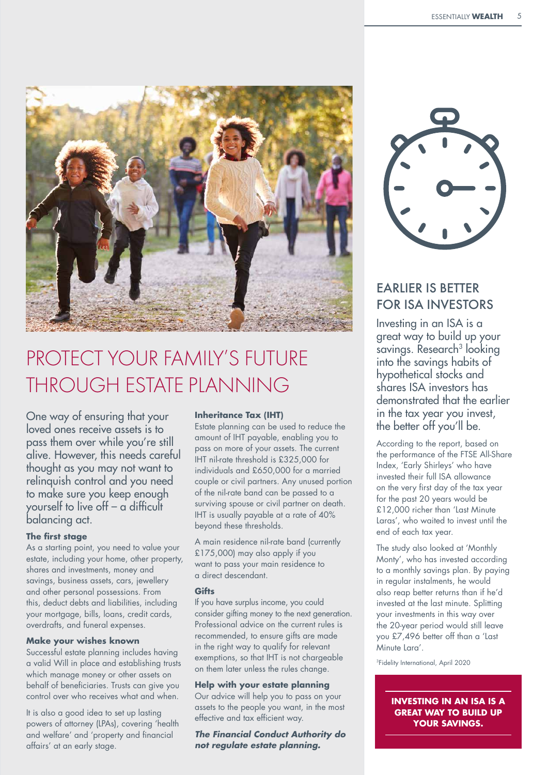

# PROTECT YOUR FAMILY'S FUTURE THROUGH ESTATE PLANNING

One way of ensuring that your loved ones receive assets is to pass them over while you're still alive. However, this needs careful thought as you may not want to relinquish control and you need to make sure you keep enough yourself to live off – a difficult balancing act.

#### **The first stage**

As a starting point, you need to value your estate, including your home, other property, shares and investments, money and savings, business assets, cars, jewellery and other personal possessions. From this, deduct debts and liabilities, including your mortgage, bills, loans, credit cards, overdrafts, and funeral expenses.

#### **Make your wishes known**

Successful estate planning includes having a valid Will in place and establishing trusts which manage money or other assets on behalf of beneficiaries. Trusts can give you control over who receives what and when.

It is also a good idea to set up lasting powers of attorney (LPAs), covering 'health and welfare' and 'property and financial affairs' at an early stage.

#### **Inheritance Tax (IHT)**

Estate planning can be used to reduce the amount of IHT payable, enabling you to pass on more of your assets. The current IHT nil-rate threshold is £325,000 for individuals and £650,000 for a married couple or civil partners. Any unused portion of the nil-rate band can be passed to a surviving spouse or civil partner on death. IHT is usually payable at a rate of 40% beyond these thresholds.

A main residence nil-rate band (currently £175,000) may also apply if you want to pass your main residence to a direct descendant.

#### **Gifts**

If you have surplus income, you could consider gifting money to the next generation. Professional advice on the current rules is recommended, to ensure gifts are made in the right way to qualify for relevant exemptions, so that IHT is not chargeable on them later unless the rules change.

#### **Help with your estate planning**

Our advice will help you to pass on your assets to the people you want, in the most effective and tax efficient way.

*The Financial Conduct Authority do not regulate estate planning.*



### EARLIER IS BETTER FOR ISA INVESTORS

Investing in an ISA is a great way to build up your savings. Research<sup>3</sup> looking into the savings habits of hypothetical stocks and shares ISA investors has demonstrated that the earlier in the tax year you invest, the better off you'll be.

According to the report, based on the performance of the FTSE All-Share Index, 'Early Shirleys' who have invested their full ISA allowance on the very first day of the tax year for the past 20 years would be £12,000 richer than 'Last Minute Laras', who waited to invest until the end of each tax year.

The study also looked at 'Monthly Monty', who has invested according to a monthly savings plan. By paying in regular instalments, he would also reap better returns than if he'd invested at the last minute. Splitting your investments in this way over the 20-year period would still leave you £7,496 better off than a 'Last Minute Lara'.

<sup>3</sup>Fidelity International, April 2020

**INVESTING IN AN ISA IS A GREAT WAY TO BUILD UP YOUR SAVINGS.**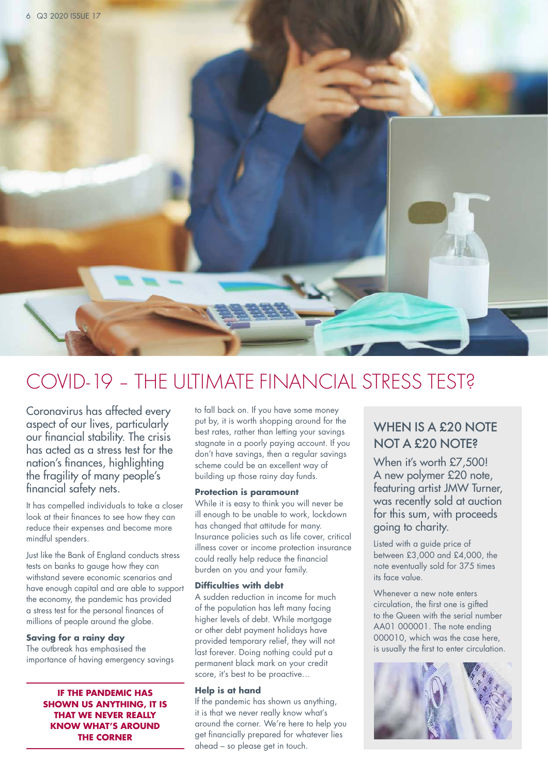

## COVID-19 – THE ULTIMATE FINANCIAL STRESS TEST?

Coronavirus has affected every aspect of our lives, particularly our financial stability. The crisis has acted as a stress test for the nation's finances, highlighting the fragility of many people's financial safety nets.

It has compelled individuals to take a closer look at their finances to see how they can reduce their expenses and become more mindful spenders.

Just like the Bank of England conducts stress tests on banks to gauge how they can withstand severe economic scenarios and have enough capital and are able to support the economy, the pandemic has provided a stress test for the personal finances of millions of people around the globe.

#### **Saving for a rainy day**

The outbreak has emphasised the importance of having emergency savings

> **IF THE PANDEMIC HAS SHOWN US ANYTHING, IT IS THAT WE NEVER REALLY KNOW WHAT'S AROUND THE CORNER**

to fall back on. If you have some money put by, it is worth shopping around for the best rates, rather than letting your savings stagnate in a poorly paying account. If you don't have savings, then a regular savings scheme could be an excellent way of building up those rainy day funds.

#### **Protection is paramount**

While it is easy to think you will never be ill enough to be unable to work, lockdown has changed that attitude for many. Insurance policies such as life cover, critical illness cover or income protection insurance could really help reduce the financial burden on you and your family.

#### **Difficulties with debt**

A sudden reduction in income for much of the population has left many facing higher levels of debt. While mortgage or other debt payment holidays have provided temporary relief, they will not last forever. Doing nothing could put a permanent black mark on your credit score, it's best to be proactive...

#### **Help is at hand**

If the pandemic has shown us anything, it is that we never really know what's around the corner. We're here to help you get financially prepared for whatever lies ahead – so please get in touch.

### WHEN IS A £20 NOTE NOT A £20 NOTE?

When it's worth £7,500! A new polymer £20 note, featuring artist JMW Turner, was recently sold at auction for this sum, with proceeds going to charity.

Listed with a guide price of between £3,000 and £4,000, the note eventually sold for 375 times its face value.

Whenever a new note enters circulation, the first one is gifted to the Queen with the serial number AA01 000001. The note ending 000010, which was the case here, is usually the first to enter circulation.

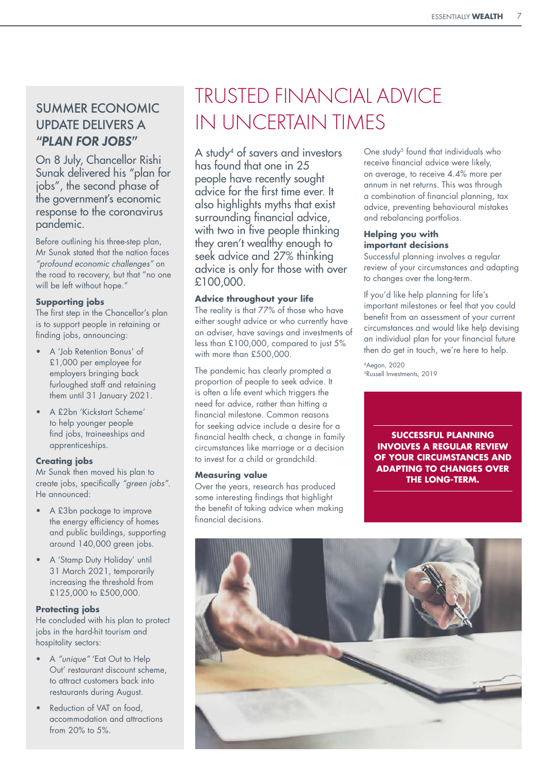### SUMMER ECONOMIC UPDATE DELIVERS A *"PLAN FOR JOBS"*

On 8 July, Chancellor Rishi Sunak delivered his "plan for jobs", the second phase of the government's economic response to the coronavirus pandemic.

Before outlining his three-step plan, Mr Sunak stated that the nation faces *"profound economic challenges"* on the road to recovery, but that "no one will be left without hope."

#### **Supporting jobs**

The first step in the Chancellor's plan is to support people in retaining or finding jobs, announcing:

- A 'Job Retention Bonus' of £1,000 per employee for employers bringing back furloughed staff and retaining them until 31 January 2021.
- A £2bn 'Kickstart Scheme' to help younger people find jobs, traineeships and apprenticeships.

#### **Creating jobs**

Mr Sunak then moved his plan to create jobs, specifically *"green jobs"*. He announced:

- A £3bn package to improve the energy efficiency of homes and public buildings, supporting around 140,000 green jobs.
- A 'Stamp Duty Holiday' until 31 March 2021, temporarily increasing the threshold from £125,000 to £500,000.

#### **Protecting jobs**

He concluded with his plan to protect jobs in the hard-hit tourism and hospitality sectors:

- A *"unique"* 'Eat Out to Help Out' restaurant discount scheme, to attract customers back into restaurants during August.
- Reduction of VAT on food, accommodation and attractions from 20% to 5%.

# TRUSTED FINANCIAL ADVICE IN UNCERTAIN TIMES

A study<sup>4</sup> of savers and investors has found that one in 25 people have recently sought advice for the first time ever. It also highlights myths that exist surrounding financial advice, with two in five people thinking they aren't wealthy enough to seek advice and 27% thinking advice is only for those with over £100,000.

#### **Advice throughout your life**

The reality is that 77% of those who have either sought advice or who currently have an adviser, have savings and investments of less than £100,000, compared to just 5% with more than £500,000.

The pandemic has clearly prompted a proportion of people to seek advice. It is often a life event which triggers the need for advice, rather than hitting a financial milestone. Common reasons for seeking advice include a desire for a financial health check, a change in family circumstances like marriage or a decision to invest for a child or grandchild.

#### **Measuring value**

Over the years, research has produced some interesting findings that highlight the benefit of taking advice when making financial decisions.

One study<sup>5</sup> found that individuals who receive financial advice were likely, on average, to receive 4.4% more per annum in net returns. This was through a combination of financial planning, tax advice, preventing behavioural mistakes and rebalancing portfolios.

#### **Helping you with important decisions**

Successful planning involves a regular review of your circumstances and adapting to changes over the long-term.

If you'd like help planning for life's important milestones or feel that you could benefit from an assessment of your current circumstances and would like help devising an individual plan for your financial future then do get in touch, we're here to help.

4Aegon, 2020 5Russell Investments, 2019

> **SUCCESSFUL PLANNING INVOLVES A REGULAR REVIEW OF YOUR CIRCUMSTANCES AND ADAPTING TO CHANGES OVER THE LONG-TERM.**